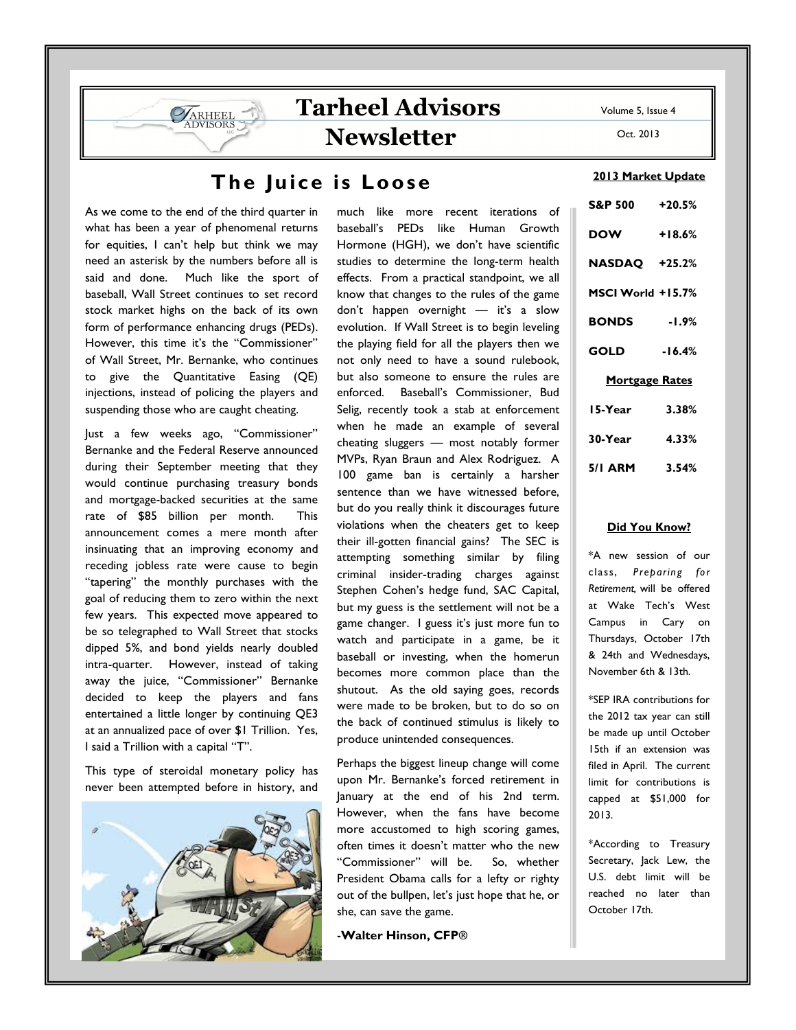# The Juice is Loose

As we come to the end of the third quarter in what has been a year of phenomenal returns for equities, I can't help but think we may need an asterisk by the numbers before all is said and done. Much like the sport of baseball, Wall Street continues to set record stock market highs on the back of its own form of performance enhancing drugs (PEDs). However, this time it's the "Commissioner" of Wall Street, Mr. Bernanke, who continues to give the Quantitative Easing (QE) injections, instead of policing the players and suspending those who are caught cheating.

**VARHEEL** 

Just a few weeks ago, "Commissioner" Bernanke and the Federal Reserve announced during their September meeting that they would continue purchasing treasury bonds and mortgage-backed securities at the same rate of \$85 billion per month. This announcement comes a mere month after insinuating that an improving economy and receding jobless rate were cause to begin "tapering" the monthly purchases with the goal of reducing them to zero within the next few years. This expected move appeared to be so telegraphed to Wall Street that stocks dipped 5%, and bond yields nearly doubled intra-quarter. However, instead of taking away the juice, "Commissioner" Bernanke decided to keep the players and fans entertained a little longer by continuing QE3 at an annualized pace of over \$1 Trillion. Yes, I said a Trillion with a capital "T".

This type of steroidal monetary policy has never been attempted before in history, and



much like more recent iterations of baseball's PEDs like Human Growth Hormone (HGH), we don't have scientific studies to determine the long-term health effects. From a practical standpoint, we all know that changes to the rules of the game don't happen overnight — it's a slow evolution. If Wall Street is to begin leveling the playing field for all the players then we not only need to have a sound rulebook, but also someone to ensure the rules are enforced. Baseball's Commissioner, Bud Selig, recently took a stab at enforcement when he made an example of several cheating sluggers — most notably former MVPs, Ryan Braun and Alex Rodriguez. A 100 game ban is certainly a harsher sentence than we have witnessed before, but do you really think it discourages future violations when the cheaters get to keep their ill-gotten financial gains? The SEC is attempting something similar by filing criminal insider-trading charges against Stephen Cohen's hedge fund, SAC Capital, but my guess is the settlement will not be a game changer. I guess it's just more fun to watch and participate in a game, be it baseball or investing, when the homerun becomes more common place than the shutout. As the old saying goes, records were made to be broken, but to do so on the back of continued stimulus is likely to produce unintended consequences.

Perhaps the biggest lineup change will come upon Mr. Bernanke's forced retirement in January at the end of his 2nd term. However, when the fans have become more accustomed to high scoring games, often times it doesn't matter who the new "Commissioner" will be. So, whether President Obama calls for a lefty or righty out of the bullpen, let's just hope that he, or she, can save the game.

**-**Walter Hinson, CFP**®** 

Volume 5, Issue 4

Oct. 2013

### 2013 Market Update

| S&P 500 +20.5%        |          |
|-----------------------|----------|
| <b>DOW</b>            | $+18.6%$ |
| NASDAQ +25.2%         |          |
| MSCI World +15.7%     |          |
| <b>BONDS</b>          | $-1.9\%$ |
| <b>GOLD</b>           | $-16.4%$ |
| <b>Mortgage Rates</b> |          |
| 15-Year               | 3.38%    |
| 30-Year               | 4.33%    |
| 5/1 ARM 3.54%         |          |

#### Did You Know?

\*A new session of our class, Preparing for Retirement, will be offered at Wake Tech's West Campus in Cary on Thursdays, October 17th & 24th and Wednesdays, November 6th & 13th.

\*SEP IRA contributions for the 2012 tax year can still be made up until October 15th if an extension was filed in April. The current limit for contributions is capped at \$51,000 for 2013.

\*According to Treasury Secretary, Jack Lew, the U.S. debt limit will be reached no later than October 17th.